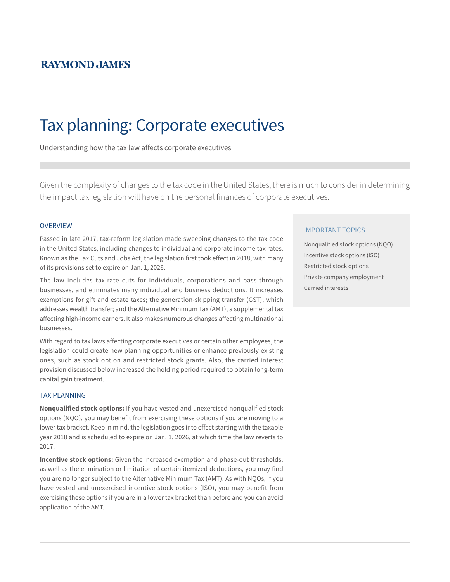# Tax planning: Corporate executives

Understanding how the tax law affects corporate executives

Given the complexity of changes to the tax code in the United States, there is much to consider in determining the impact tax legislation will have on the personal finances of corporate executives.

### **OVERVIEW**

Passed in late 2017, tax-reform legislation made sweeping changes to the tax code in the United States, including changes to individual and corporate income tax rates. Known as the Tax Cuts and Jobs Act, the legislation first took effect in 2018, with many of its provisions set to expire on Jan. 1, 2026.

The law includes tax-rate cuts for individuals, corporations and pass-through businesses, and eliminates many individual and business deductions. It increases exemptions for gift and estate taxes; the generation-skipping transfer (GST), which addresses wealth transfer; and the Alternative Minimum Tax (AMT), a supplemental tax affecting high-income earners. It also makes numerous changes affecting multinational businesses.

With regard to tax laws affecting corporate executives or certain other employees, the legislation could create new planning opportunities or enhance previously existing ones, such as stock option and restricted stock grants. Also, the carried interest provision discussed below increased the holding period required to obtain long-term capital gain treatment.

### TAX PLANNING

**Nonqualified stock options:** If you have vested and unexercised nonqualified stock options (NQO), you may benefit from exercising these options if you are moving to a lower tax bracket. Keep in mind, the legislation goes into effect starting with the taxable year 2018 and is scheduled to expire on Jan. 1, 2026, at which time the law reverts to 2017.

**Incentive stock options:** Given the increased exemption and phase-out thresholds, as well as the elimination or limitation of certain itemized deductions, you may find you are no longer subject to the Alternative Minimum Tax (AMT). As with NQOs, if you have vested and unexercised incentive stock options (ISO), you may benefit from exercising these options if you are in a lower tax bracket than before and you can avoid application of the AMT.

### IMPORTANT TOPICS

Nonqualified stock options (NQO) Incentive stock options (ISO) Restricted stock options Private company employment Carried interests